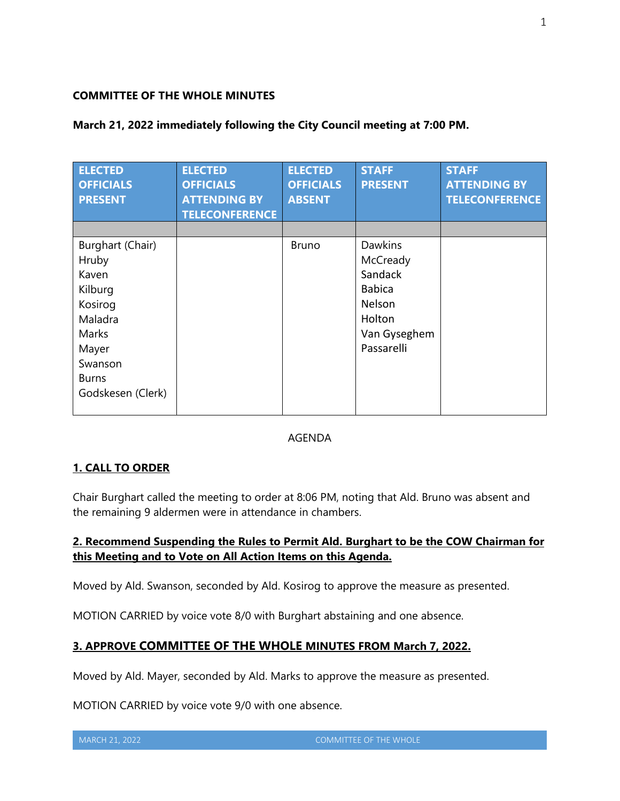### **COMMITTEE OF THE WHOLE MINUTES**

## **March 21, 2022 immediately following the City Council meeting at 7:00 PM.**

| <b>ELECTED</b><br><b>OFFICIALS</b><br><b>PRESENT</b>                                                                                  | <b>ELECTED</b><br><b>OFFICIALS</b><br><b>ATTENDING BY</b><br><b>TELECONFERENCE</b> | <b>ELECTED</b><br><b>OFFICIALS</b><br><b>ABSENT</b> | <b>STAFF</b><br><b>PRESENT</b>                                                                           | <b>STAFF</b><br><b>ATTENDING BY</b><br><b>TELECONFERENCE</b> |
|---------------------------------------------------------------------------------------------------------------------------------------|------------------------------------------------------------------------------------|-----------------------------------------------------|----------------------------------------------------------------------------------------------------------|--------------------------------------------------------------|
| Burghart (Chair)<br>Hruby<br>Kaven<br>Kilburg<br>Kosirog<br>Maladra<br>Marks<br>Mayer<br>Swanson<br><b>Burns</b><br>Godskesen (Clerk) |                                                                                    | <b>Bruno</b>                                        | <b>Dawkins</b><br>McCready<br>Sandack<br><b>Babica</b><br>Nelson<br>Holton<br>Van Gyseghem<br>Passarelli |                                                              |

### AGENDA

### **1. CALL TO ORDER**

Chair Burghart called the meeting to order at 8:06 PM, noting that Ald. Bruno was absent and the remaining 9 aldermen were in attendance in chambers.

# **2. Recommend Suspending the Rules to Permit Ald. Burghart to be the COW Chairman for this Meeting and to Vote on All Action Items on this Agenda.**

Moved by Ald. Swanson, seconded by Ald. Kosirog to approve the measure as presented.

MOTION CARRIED by voice vote 8/0 with Burghart abstaining and one absence.

# **3. APPROVE COMMITTEE OF THE WHOLE MINUTES FROM March 7, 2022.**

Moved by Ald. Mayer, seconded by Ald. Marks to approve the measure as presented.

MOTION CARRIED by voice vote 9/0 with one absence.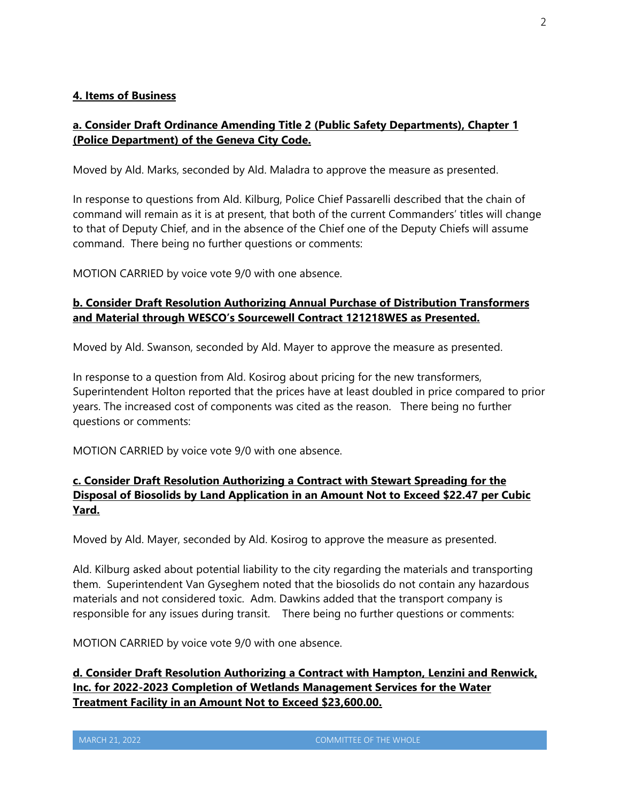### **4. Items of Business**

# **a. Consider Draft Ordinance Amending Title 2 (Public Safety Departments), Chapter 1 (Police Department) of the Geneva City Code.**

Moved by Ald. Marks, seconded by Ald. Maladra to approve the measure as presented.

In response to questions from Ald. Kilburg, Police Chief Passarelli described that the chain of command will remain as it is at present, that both of the current Commanders' titles will change to that of Deputy Chief, and in the absence of the Chief one of the Deputy Chiefs will assume command. There being no further questions or comments:

MOTION CARRIED by voice vote 9/0 with one absence.

# **b. Consider Draft Resolution Authorizing Annual Purchase of Distribution Transformers and Material through WESCO's Sourcewell Contract 121218WES as Presented.**

Moved by Ald. Swanson, seconded by Ald. Mayer to approve the measure as presented.

In response to a question from Ald. Kosirog about pricing for the new transformers, Superintendent Holton reported that the prices have at least doubled in price compared to prior years. The increased cost of components was cited as the reason. There being no further questions or comments:

MOTION CARRIED by voice vote 9/0 with one absence.

# **c. Consider Draft Resolution Authorizing a Contract with Stewart Spreading for the Disposal of Biosolids by Land Application in an Amount Not to Exceed \$22.47 per Cubic Yard.**

Moved by Ald. Mayer, seconded by Ald. Kosirog to approve the measure as presented.

Ald. Kilburg asked about potential liability to the city regarding the materials and transporting them. Superintendent Van Gyseghem noted that the biosolids do not contain any hazardous materials and not considered toxic. Adm. Dawkins added that the transport company is responsible for any issues during transit. There being no further questions or comments:

MOTION CARRIED by voice vote 9/0 with one absence.

**d. Consider Draft Resolution Authorizing a Contract with Hampton, Lenzini and Renwick, Inc. for 2022-2023 Completion of Wetlands Management Services for the Water Treatment Facility in an Amount Not to Exceed \$23,600.00.**